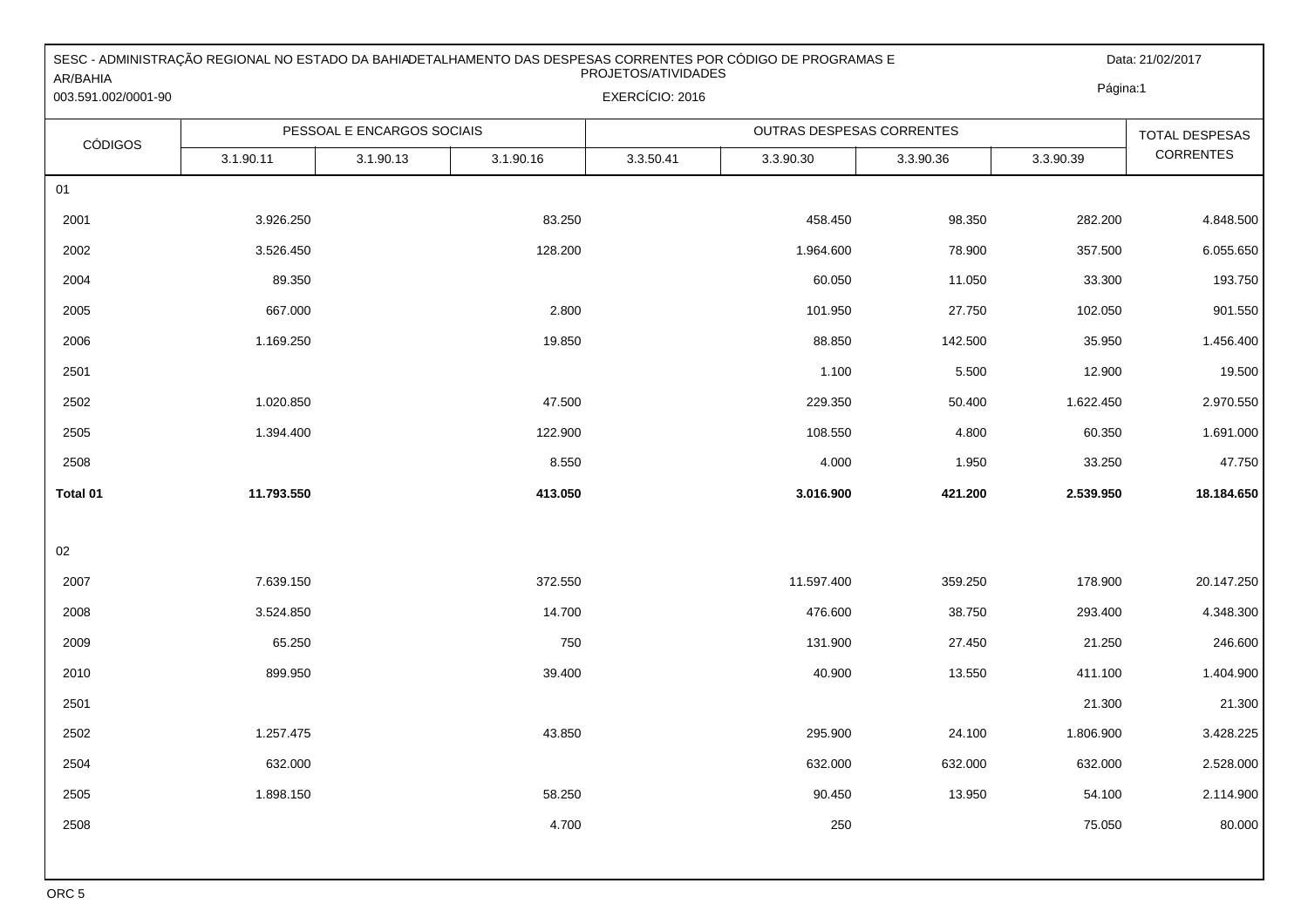| AR/BAHIA<br>003.591.002/0001-90 | SESC - ADMINISTRAÇÃO REGIONAL NO ESTADO DA BAHIADETALHAMENTO DAS DESPESAS CORRENTES POR CÓDIGO DE PROGRAMAS E<br>PROJETOS/ATIVIDADES<br>EXERCÍCIO: 2016 |           |           |           |                           |           |           | Data: 21/02/2017<br>Página:1              |  |
|---------------------------------|---------------------------------------------------------------------------------------------------------------------------------------------------------|-----------|-----------|-----------|---------------------------|-----------|-----------|-------------------------------------------|--|
|                                 | PESSOAL E ENCARGOS SOCIAIS                                                                                                                              |           |           |           | OUTRAS DESPESAS CORRENTES |           |           |                                           |  |
| <b>CÓDIGOS</b>                  | 3.1.90.11                                                                                                                                               | 3.1.90.13 | 3.1.90.16 | 3.3.50.41 | 3.3.90.30                 | 3.3.90.36 | 3.3.90.39 | <b>TOTAL DESPESAS</b><br><b>CORRENTES</b> |  |
| 01                              |                                                                                                                                                         |           |           |           |                           |           |           |                                           |  |
| 2001                            | 3.926.250                                                                                                                                               |           | 83.250    |           | 458.450                   | 98.350    | 282.200   | 4.848.500                                 |  |
| 2002                            | 3.526.450                                                                                                                                               |           | 128.200   |           | 1.964.600                 | 78.900    | 357.500   | 6.055.650                                 |  |
| 2004                            | 89.350                                                                                                                                                  |           |           |           | 60.050                    | 11.050    | 33.300    | 193.750                                   |  |
| 2005                            | 667.000                                                                                                                                                 |           | 2.800     |           | 101.950                   | 27.750    | 102.050   | 901.550                                   |  |
| 2006                            | 1.169.250                                                                                                                                               |           | 19.850    |           | 88.850                    | 142.500   | 35.950    | 1.456.400                                 |  |
| 2501                            |                                                                                                                                                         |           |           |           | 1.100                     | 5.500     | 12.900    | 19.500                                    |  |
| 2502                            | 1.020.850                                                                                                                                               |           | 47.500    |           | 229.350                   | 50.400    | 1.622.450 | 2.970.550                                 |  |
| 2505                            | 1.394.400                                                                                                                                               |           | 122.900   |           | 108.550                   | 4.800     | 60.350    | 1.691.000                                 |  |
| 2508                            |                                                                                                                                                         |           | 8.550     |           | 4.000                     | 1.950     | 33.250    | 47.750                                    |  |
| Total 01                        | 11.793.550                                                                                                                                              |           | 413.050   |           | 3.016.900                 | 421.200   | 2.539.950 | 18.184.650                                |  |
|                                 |                                                                                                                                                         |           |           |           |                           |           |           |                                           |  |
| $02\,$                          |                                                                                                                                                         |           |           |           |                           |           |           |                                           |  |
| 2007                            | 7.639.150                                                                                                                                               |           | 372.550   |           | 11.597.400                | 359.250   | 178.900   | 20.147.250                                |  |
| 2008                            | 3.524.850                                                                                                                                               |           | 14.700    |           | 476.600                   | 38.750    | 293.400   | 4.348.300                                 |  |
| 2009                            | 65.250                                                                                                                                                  |           | 750       |           | 131.900                   | 27.450    | 21.250    | 246.600                                   |  |
| 2010                            | 899.950                                                                                                                                                 |           | 39.400    |           | 40.900                    | 13.550    | 411.100   | 1.404.900                                 |  |
| 2501                            |                                                                                                                                                         |           |           |           |                           |           | 21.300    | 21.300                                    |  |
| 2502                            | 1.257.475                                                                                                                                               |           | 43.850    |           | 295.900                   | 24.100    | 1.806.900 | 3.428.225                                 |  |
| 2504                            | 632.000                                                                                                                                                 |           |           |           | 632.000                   | 632.000   | 632.000   | 2.528.000                                 |  |
| 2505                            | 1.898.150                                                                                                                                               |           | 58.250    |           | 90.450                    | 13.950    | 54.100    | 2.114.900                                 |  |
| 2508                            |                                                                                                                                                         |           | 4.700     |           | 250                       |           | 75.050    | 80.000                                    |  |
|                                 |                                                                                                                                                         |           |           |           |                           |           |           |                                           |  |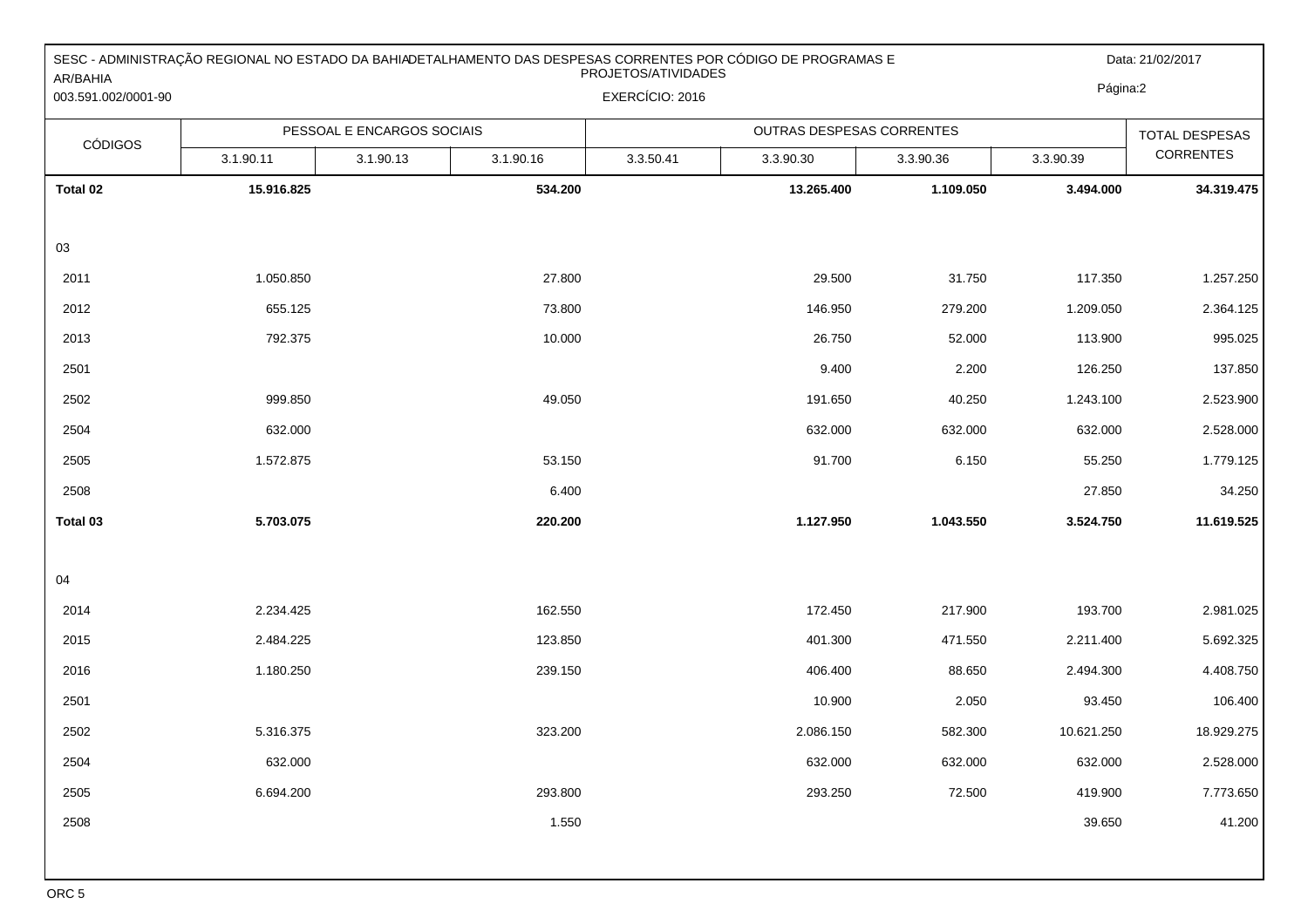| AR/BAHIA<br>003.591.002/0001-90 | SESC - ADMINISTRAÇÃO REGIONAL NO ESTADO DA BAHIADETALHAMENTO DAS DESPESAS CORRENTES POR CÓDIGO DE PROGRAMAS E<br>PROJETOS/ATIVIDADES<br>EXERCÍCIO: 2016 |                            |           |           |                           |           |                       | Data: 21/02/2017<br>Página:2 |  |
|---------------------------------|---------------------------------------------------------------------------------------------------------------------------------------------------------|----------------------------|-----------|-----------|---------------------------|-----------|-----------------------|------------------------------|--|
| <b>CÓDIGOS</b>                  |                                                                                                                                                         | PESSOAL E ENCARGOS SOCIAIS |           |           | OUTRAS DESPESAS CORRENTES |           | <b>TOTAL DESPESAS</b> |                              |  |
|                                 | 3.1.90.11                                                                                                                                               | 3.1.90.13                  | 3.1.90.16 | 3.3.50.41 | 3.3.90.30                 | 3.3.90.36 | 3.3.90.39             | <b>CORRENTES</b>             |  |
| Total 02                        | 15.916.825                                                                                                                                              |                            | 534.200   |           | 13.265.400                | 1.109.050 | 3.494.000             | 34.319.475                   |  |
|                                 |                                                                                                                                                         |                            |           |           |                           |           |                       |                              |  |
| 03                              |                                                                                                                                                         |                            |           |           |                           |           |                       |                              |  |
| 2011                            | 1.050.850                                                                                                                                               |                            | 27.800    |           | 29.500                    | 31.750    | 117.350               | 1.257.250                    |  |
| 2012                            | 655.125                                                                                                                                                 |                            | 73.800    |           | 146.950                   | 279.200   | 1.209.050             | 2.364.125                    |  |
| 2013                            | 792.375                                                                                                                                                 |                            | 10.000    |           | 26.750                    | 52.000    | 113.900               | 995.025                      |  |
| 2501                            |                                                                                                                                                         |                            |           |           | 9.400                     | 2.200     | 126.250               | 137.850                      |  |
| 2502                            | 999.850                                                                                                                                                 |                            | 49.050    |           | 191.650                   | 40.250    | 1.243.100             | 2.523.900                    |  |
| 2504                            | 632.000                                                                                                                                                 |                            |           |           | 632.000                   | 632.000   | 632.000               | 2.528.000                    |  |
| 2505                            | 1.572.875                                                                                                                                               |                            | 53.150    |           | 91.700                    | 6.150     | 55.250                | 1.779.125                    |  |
| 2508                            |                                                                                                                                                         |                            | 6.400     |           |                           |           | 27.850                | 34.250                       |  |
| Total 03                        | 5.703.075                                                                                                                                               |                            | 220.200   |           | 1.127.950                 | 1.043.550 | 3.524.750             | 11.619.525                   |  |
|                                 |                                                                                                                                                         |                            |           |           |                           |           |                       |                              |  |
| 04                              |                                                                                                                                                         |                            |           |           |                           |           |                       |                              |  |
| 2014                            | 2.234.425                                                                                                                                               |                            | 162.550   |           | 172.450                   | 217.900   | 193.700               | 2.981.025                    |  |
| 2015                            | 2.484.225                                                                                                                                               |                            | 123.850   |           | 401.300                   | 471.550   | 2.211.400             | 5.692.325                    |  |
| 2016                            | 1.180.250                                                                                                                                               |                            | 239.150   |           | 406.400                   | 88.650    | 2.494.300             | 4.408.750                    |  |
| 2501                            |                                                                                                                                                         |                            |           |           | 10.900                    | 2.050     | 93.450                | 106.400                      |  |
| 2502                            | 5.316.375                                                                                                                                               |                            | 323.200   |           | 2.086.150                 | 582.300   | 10.621.250            | 18.929.275                   |  |
| 2504                            | 632.000                                                                                                                                                 |                            |           |           | 632.000                   | 632.000   | 632.000               | 2.528.000                    |  |
| 2505                            | 6.694.200                                                                                                                                               |                            | 293.800   |           | 293.250                   | 72.500    | 419.900               | 7.773.650                    |  |
| 2508                            |                                                                                                                                                         |                            | 1.550     |           |                           |           | 39.650                | 41.200                       |  |
|                                 |                                                                                                                                                         |                            |           |           |                           |           |                       |                              |  |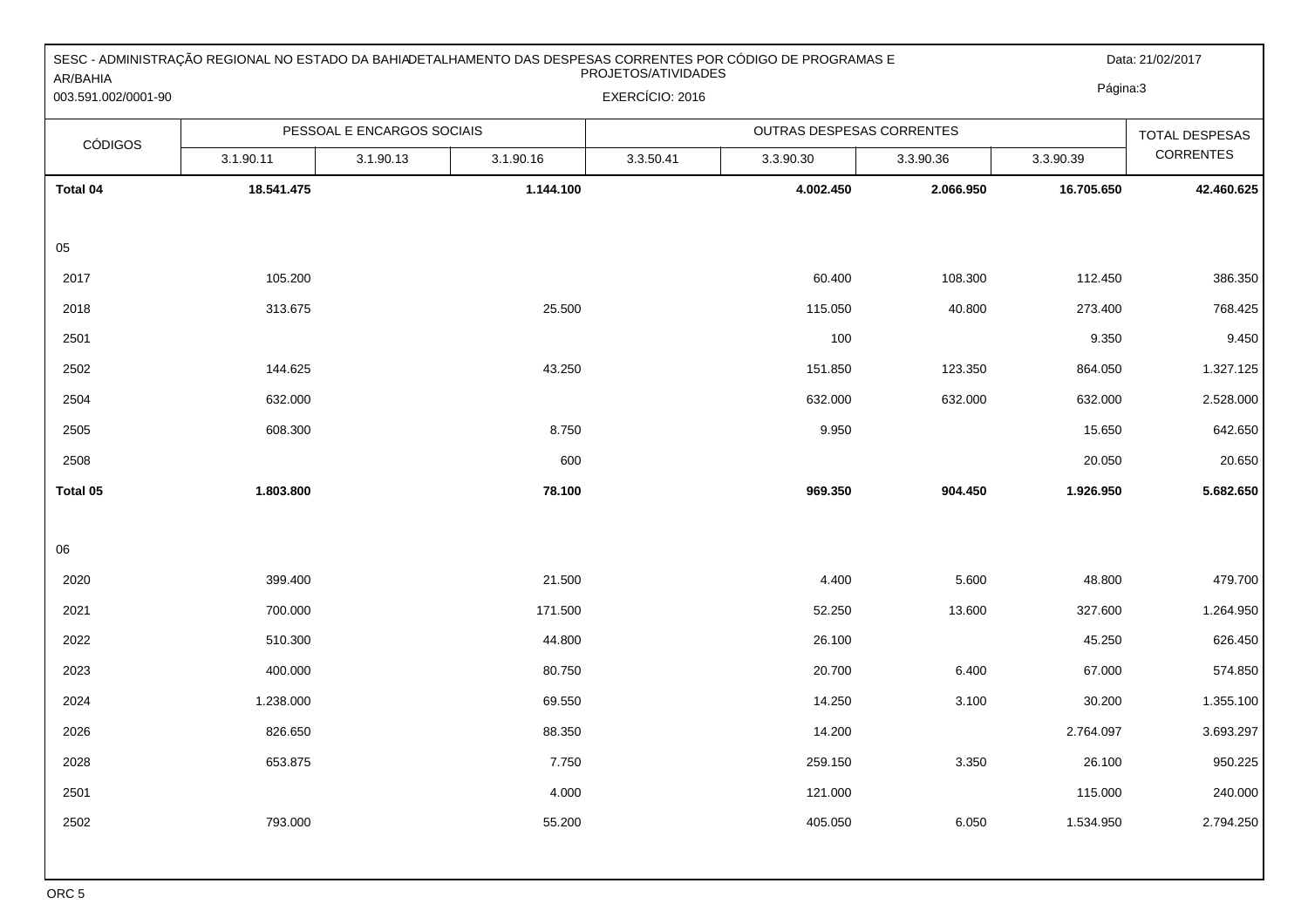| AR/BAHIA            | SESC - ADMINISTRAÇÃO REGIONAL NO ESTADO DA BAHIADETALHAMENTO DAS DESPESAS CORRENTES POR CÓDIGO DE PROGRAMAS E<br>PROJETOS/ATIVIDADES |                            |           |                 |                           |           |            | Data: 21/02/2017<br>Página:3 |  |
|---------------------|--------------------------------------------------------------------------------------------------------------------------------------|----------------------------|-----------|-----------------|---------------------------|-----------|------------|------------------------------|--|
| 003.591.002/0001-90 |                                                                                                                                      |                            |           | EXERCÍCIO: 2016 |                           |           |            |                              |  |
| <b>CÓDIGOS</b>      |                                                                                                                                      | PESSOAL E ENCARGOS SOCIAIS |           |                 | OUTRAS DESPESAS CORRENTES |           |            | <b>TOTAL DESPESAS</b>        |  |
|                     | 3.1.90.11                                                                                                                            | 3.1.90.13                  | 3.1.90.16 | 3.3.50.41       | 3.3.90.30                 | 3.3.90.36 | 3.3.90.39  | <b>CORRENTES</b>             |  |
| Total 04            | 18.541.475                                                                                                                           |                            | 1.144.100 |                 | 4.002.450                 | 2.066.950 | 16.705.650 | 42.460.625                   |  |
|                     |                                                                                                                                      |                            |           |                 |                           |           |            |                              |  |
| 05                  |                                                                                                                                      |                            |           |                 |                           |           |            |                              |  |
| 2017                | 105.200                                                                                                                              |                            |           |                 | 60.400                    | 108.300   | 112.450    | 386.350                      |  |
| 2018                | 313.675                                                                                                                              |                            | 25.500    |                 | 115.050                   | 40.800    | 273.400    | 768.425                      |  |
| 2501                |                                                                                                                                      |                            |           |                 | 100                       |           | 9.350      | 9.450                        |  |
| 2502                | 144.625                                                                                                                              |                            | 43.250    |                 | 151.850                   | 123.350   | 864.050    | 1.327.125                    |  |
| 2504                | 632.000                                                                                                                              |                            |           |                 | 632.000                   | 632.000   | 632.000    | 2.528.000                    |  |
| 2505                | 608.300                                                                                                                              |                            | 8.750     |                 | 9.950                     |           | 15.650     | 642.650                      |  |
| 2508                |                                                                                                                                      |                            | 600       |                 |                           |           | 20.050     | 20.650                       |  |
| Total 05            | 1.803.800                                                                                                                            |                            | 78.100    |                 | 969.350                   | 904.450   | 1.926.950  | 5.682.650                    |  |
|                     |                                                                                                                                      |                            |           |                 |                           |           |            |                              |  |
| 06                  |                                                                                                                                      |                            |           |                 |                           |           |            |                              |  |
| 2020                | 399.400                                                                                                                              |                            | 21.500    |                 | 4.400                     | 5.600     | 48.800     | 479.700                      |  |
| 2021                | 700.000                                                                                                                              |                            | 171.500   |                 | 52.250                    | 13.600    | 327.600    | 1.264.950                    |  |
| 2022                | 510.300                                                                                                                              |                            | 44.800    |                 | 26.100                    |           | 45.250     | 626.450                      |  |
| 2023                | 400.000                                                                                                                              |                            | 80.750    |                 | 20.700                    | 6.400     | 67.000     | 574.850                      |  |
| 2024                | 1.238.000                                                                                                                            |                            | 69.550    |                 | 14.250                    | 3.100     | 30.200     | 1.355.100                    |  |
| 2026                | 826.650                                                                                                                              |                            | 88.350    |                 | 14.200                    |           | 2.764.097  | 3.693.297                    |  |
| 2028                | 653.875                                                                                                                              |                            | 7.750     |                 | 259.150                   | 3.350     | 26.100     | 950.225                      |  |
| 2501                |                                                                                                                                      |                            | 4.000     |                 | 121.000                   |           | 115.000    | 240.000                      |  |
| 2502                | 793.000                                                                                                                              |                            | 55.200    |                 | 405.050                   | 6.050     | 1.534.950  | 2.794.250                    |  |
|                     |                                                                                                                                      |                            |           |                 |                           |           |            |                              |  |